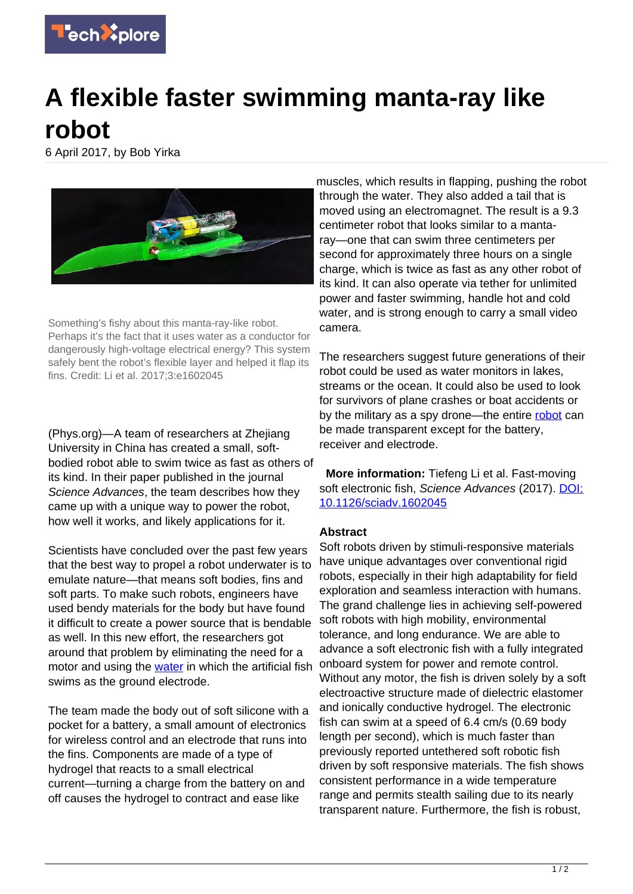

## **A flexible faster swimming manta-ray like robot**

6 April 2017, by Bob Yirka



Something's fishy about this manta-ray-like robot. Perhaps it's the fact that it uses water as a conductor for dangerously high-voltage electrical energy? This system safely bent the robot's flexible layer and helped it flap its fins. Credit: Li et al. 2017;3:e1602045

(Phys.org)—A team of researchers at Zhejiang University in China has created a small, softbodied robot able to swim twice as fast as others of its kind. In their paper published in the journal Science Advances, the team describes how they came up with a unique way to power the robot, how well it works, and likely applications for it.

Scientists have concluded over the past few years that the best way to propel a robot underwater is to emulate nature—that means soft bodies, fins and soft parts. To make such robots, engineers have used bendy materials for the body but have found it difficult to create a power source that is bendable as well. In this new effort, the researchers got around that problem by eliminating the need for a motor and using the [water](https://techxplore.com/tags/water/) in which the artificial fish swims as the ground electrode.

The team made the body out of soft silicone with a pocket for a battery, a small amount of electronics for wireless control and an electrode that runs into the fins. Components are made of a type of hydrogel that reacts to a small electrical current—turning a charge from the battery on and off causes the hydrogel to contract and ease like

muscles, which results in flapping, pushing the robot through the water. They also added a tail that is moved using an electromagnet. The result is a 9.3 centimeter robot that looks similar to a mantaray—one that can swim three centimeters per second for approximately three hours on a single charge, which is twice as fast as any other robot of its kind. It can also operate via tether for unlimited power and faster swimming, handle hot and cold water, and is strong enough to carry a small video camera.

The researchers suggest future generations of their robot could be used as water monitors in lakes, streams or the ocean. It could also be used to look for survivors of plane crashes or boat accidents or by the military as a spy drone—the entire [robot](https://techxplore.com/tags/robot/) can be made transparent except for the battery, receiver and electrode.

 **More information:** Tiefeng Li et al. Fast-moving soft electronic fish, Science Advances (2017). [DOI:](http://dx.doi.org/10.1126/sciadv.1602045) [10.1126/sciadv.1602045](http://dx.doi.org/10.1126/sciadv.1602045)

## **Abstract**

Soft robots driven by stimuli-responsive materials have unique advantages over conventional rigid robots, especially in their high adaptability for field exploration and seamless interaction with humans. The grand challenge lies in achieving self-powered soft robots with high mobility, environmental tolerance, and long endurance. We are able to advance a soft electronic fish with a fully integrated onboard system for power and remote control. Without any motor, the fish is driven solely by a soft electroactive structure made of dielectric elastomer and ionically conductive hydrogel. The electronic fish can swim at a speed of 6.4 cm/s (0.69 body length per second), which is much faster than previously reported untethered soft robotic fish driven by soft responsive materials. The fish shows consistent performance in a wide temperature range and permits stealth sailing due to its nearly transparent nature. Furthermore, the fish is robust,